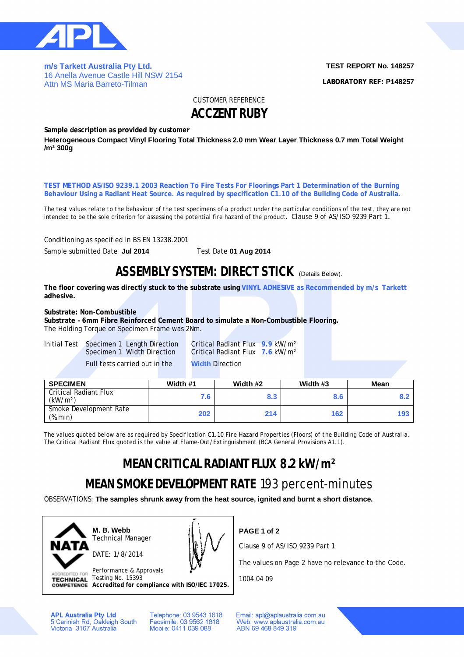

**m/s Tarkett Australia Pty Ltd.**  16 Anella Avenue Castle Hill NSW 2154 Attn MS Maria Barreto-Tilman

**TEST REPORT No. 148257 LABORATORY REF: P148257**

CUSTOMER REFERENCE

### **ACCZENT RUBY**

**Sample description as provided by customer**

**Heterogeneous Compact Vinyl Flooring Total Thickness 2.0 mm Wear Layer Thickness 0.7 mm Total Weight /m² 300g**

**TEST METHOD AS/ISO 9239.1 2003 Reaction To Fire Tests For Floorings Part 1 Determination of the Burning Behaviour Using a Radiant Heat Source. As required by specification C1.10 of the Building Code of Australia.**

The test values relate to the behaviour of the test specimens of a product under the particular conditions of the test, they are not intended to be the sole criterion for assessing the potential fire hazard of the product**.** Clause 9 of AS/ISO 9239 Part 1**.**

Conditioning as specified in BS EN 13238.2001

Sample submitted Date **Jul 2014** Test Date **01 Aug 2014**

### **ASSEMBLY SYSTEM: DIRECT STICK (Details Below).**

**The floor covering was directly stuck to the substrate using VINYL ADHESIVE as Recommended by m/s Tarkett adhesive.**

#### **Substrate: Non-Combustible**

**Substrate – 6mm Fibre Reinforced Cement Board to simulate a Non-Combustible Flooring.** The Holding Torque on Specimen Frame was 2Nm.

| Initial Test Specimen 1 Length Direction |  |
|------------------------------------------|--|
| Specimen 1 Width Direction               |  |
| Full tests carried out in the            |  |

Critical Radiant Flux **9.9** kW/m<sup>2</sup> **Critical Radiant Flux 7.6 kW/m<sup>2</sup> Width Direction** 

| <b>SPECIMEN</b>                                      | Width #1 | Width #2 | Width #3 | Mean |
|------------------------------------------------------|----------|----------|----------|------|
| <b>Critical Radiant Flux</b><br>(kW/m <sup>2</sup> ) | 7.6      | 8.3      | 8.6      |      |
| Smoke Development Rate<br>$(\%$ .min)                | 202      | 214      | 162      | 193  |

*The values quoted below are as required by Specification C1.10 Fire Hazard Properties (Floors) of the Building Code of Australia. The Critical Radiant Flux quoted is the value at Flame-Out/Extinguishment (BCA General Provisions A1.1).*

## **MEAN CRITICAL RADIANT FLUX 8.2 kW/m²**

# **MEAN SMOKE DEVELOPMENT RATE** 193 percent-minutes

**PAGE 1 of 2**

1004 04 09

OBSERVATIONS: **The samples shrunk away from the heat source, ignited and burnt a short distance.** 



**M. B. Webb** Technical Manager DATE: 1/8/2014



Performance & Approvals<br>Testing No. 15393 DITED FOR Testing No. 15393

**Accredited for compliance with ISO/IEC 17025.**

**APL Australia Pty Ltd** 5 Carinish Rd, Oakleigh South<br>Victoria 3167 Australia Telephone: 03 9543 1618 Facsimile: 03 9562 1818 Mobile: 0411 039 088

Email: apl@aplaustralia.com.au Web: www.aplaustralia.com.au ABN 69 468 849 319

Clause 9 of AS/ISO 9239 Part 1

The values on Page 2 have no relevance to the Code.